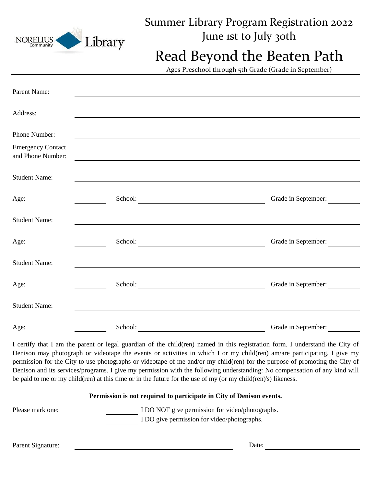| <b>NORELIUS</b><br>Community                                   | Library | Summer Library Program Registration 2022<br>June ist to July 30th                    |  |
|----------------------------------------------------------------|---------|--------------------------------------------------------------------------------------|--|
|                                                                |         | Read Beyond the Beaten Path<br>Ages Preschool through 5th Grade (Grade in September) |  |
| Parent Name:                                                   |         |                                                                                      |  |
| Address:                                                       |         |                                                                                      |  |
| Phone Number:<br><b>Emergency Contact</b><br>and Phone Number: |         |                                                                                      |  |
| <b>Student Name:</b>                                           |         |                                                                                      |  |
| Age:                                                           |         | Grade in September:                                                                  |  |
| <b>Student Name:</b>                                           |         |                                                                                      |  |
| Age:                                                           |         | School:<br>Grade in September:                                                       |  |
| <b>Student Name:</b>                                           |         |                                                                                      |  |
| Age:                                                           |         | School:<br>Grade in September:                                                       |  |
| <b>Student Name:</b>                                           |         |                                                                                      |  |
| Age:                                                           |         | Grade in September:                                                                  |  |

I certify that I am the parent or legal guardian of the child(ren) named in this registration form. I understand the City of Denison may photograph or videotape the events or activities in which I or my child(ren) am/are participating. I give my permission for the City to use photographs or videotape of me and/or my child(ren) for the purpose of promoting the City of Denison and its services/programs. I give my permission with the following understanding: No compensation of any kind will be paid to me or my child(ren) at this time or in the future for the use of my (or my child(ren)'s) likeness.

## **Permission is not required to participate in City of Denison events.**

Please mark one: I DO NOT give permission for video/photographs. I DO give permission for video/photographs.

Parent Signature: